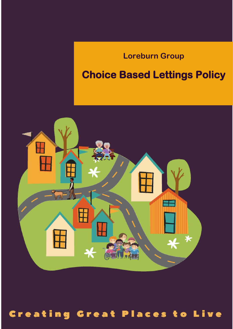## **Loreburn Group**

## **Choice Based Lettings Policy**



# 1 Review Date: January 2023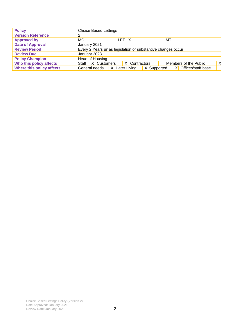| <b>Policy</b>             | <b>Choice Based Lettings</b>                                                  |
|---------------------------|-------------------------------------------------------------------------------|
| <b>Version Reference</b>  |                                                                               |
| <b>Approved by</b>        | МC<br>МT<br>LET X                                                             |
| <b>Date of Approval</b>   | January 2021                                                                  |
| <b>Review Period</b>      | Every 2 Years or as legislation or substantive changes occur                  |
| <b>Review Due</b>         | January 2023                                                                  |
| <b>Policy Champion</b>    | Head of Housing                                                               |
| Who this policy affects   | Staff   X   Customers<br>X<br>$X$ Contractors<br>Members of the Public        |
| Where this policy affects | Offices/staff base<br>Later Living<br>X Supported<br>General needs<br>X<br>XI |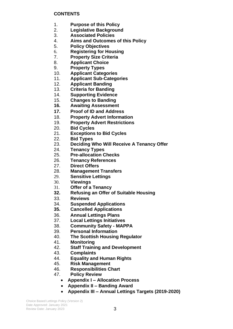#### **CONTENTS**

- 1. **Purpose of this Policy**
- 2. **Legislative Background**
- 3. **Associated Policies**
- 4. **Aims and Outcomes of this Policy**
- 5. **Policy Objectives**
- 6. **Registering for Housing**
- 7. **Property Size Criteria**
- 8. **Applicant Choice**
- 9. **Property Types**
- 10. **Applicant Categories**
- 11. **Applicant Sub-Categories**
- 12. **Applicant Banding**
- 13. **Criteria for Banding**
- 14. **Supporting Evidence**
- 15. **Changes to Banding**
- **16. Awaiting Assessment**
- **17. Proof of ID and Address**
- 18. **Property Advert Information**
- 19. **Property Advert Restrictions**
- 20. **Bid Cycles**
- 21. **Exceptions to Bid Cycles**
- 22. **Bid Types**
- 23. **Deciding Who Will Receive A Tenancy Offer**
- 24. **Tenancy Types**
- 25. **Pre-allocation Checks**
- 26. **Tenancy References**
- 27. **Direct Offers**
- 28. **Management Transfers**
- 29. **Sensitive Lettings**
- 30. **Viewings**
- 31. **Offer of a Tenancy**
- **32. Refusing an Offer of Suitable Housing**
- 33. **Reviews**
- 34. **Suspended Applications**
- **35. Cancelled Applications**
- 36. **Annual Lettings Plans**
- 37. **Local Lettings Initiatives**
- 38. **Community Safety - MAPPA**
- 39. **Personal Information**
- 40. **The Scottish Housing Regulator**
- 41. **Monitoring**
- 42. **Staff Training and Development**
- 43. **Complaints**
- 44. **Equality and Human Rights**
- 45. **Risk Management**
- 46. **Responsibilities Chart**
- 47. **Policy Review**
	- **Appendix I – Allocation Process**
	- **Appendix II – Banding Award**
	- **Appendix III – Annual Lettings Targets (2019-2020)**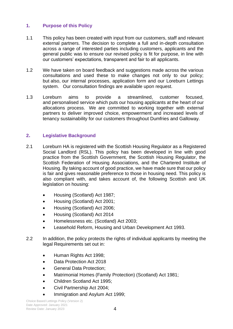### **1. Purpose of this Policy**

- 1.1 This policy has been created with input from our customers, staff and relevant external partners. The decision to complete a full and in-depth consultation across a range of interested parties including customers, applicants and the general public was to ensure our revised policy is fit for purpose, in line with our customers' expectations, transparent and fair to all applicants.
- 1.2 We have taken on board feedback and suggestions made across the various consultations and used these to make changes not only to our policy; but also, our internal processes, application form and our Loreburn Lettings system. Our consultation findings are available upon request.
- 1.3 Loreburn aims to provide a streamlined, customer focused, and personalised service which puts our housing applicants at the heart of our allocations process. We are committed to working together with external partners to deliver improved choice, empowerment and increased levels of tenancy sustainability for our customers throughout Dumfries and Galloway.

#### **2. Legislative Background**

- 2.1 Loreburn HA is registered with the Scottish Housing Regulator as a Registered Social Landlord (RSL). This policy has been developed in line with good practice from the Scottish Government, the Scottish Housing Regulator, the Scottish Federation of Housing Associations, and the Chartered Institute of Housing. By taking account of good practice, we have made sure that our policy is fair and gives reasonable preference to those in housing need. This policy is also compliant with, and takes account of, the following Scottish and UK legislation on housing:
	- Housing (Scotland) Act 1987;
	- Housing (Scotland) Act 2001;
	- Housing (Scotland) Act 2006;
	- Housing (Scotland) Act 2014
	- Homelessness etc. (Scotland) Act 2003;
	- Leasehold Reform, Housing and Urban Development Act 1993.
- 2.2 In addition, the policy protects the rights of individual applicants by meeting the legal Requirements set out in:
	- Human Rights Act 1998;
	- Data Protection Act 2018
	- General Data Protection;
	- Matrimonial Homes (Family Protection) (Scotland) Act 1981;
	- Children Scotland Act 1995;
	- Civil Partnership Act 2004;
	- Immigration and Asylum Act 1999;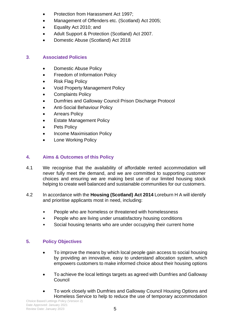- Protection from Harassment Act 1997;
- Management of Offenders etc. (Scotland) Act 2005;
- Equality Act 2010; and
- Adult Support & Protection (Scotland) Act 2007.
- Domestic Abuse (Scotland) Act 2018

### **3**. **Associated Policies**

- Domestic Abuse Policy
- Freedom of Information Policy
- Risk Flag Policy
- Void Property Management Policy
- Complaints Policy
- Dumfries and Galloway Council Prison Discharge Protocol
- Anti-Social Behaviour Policy
- Arrears Policy
- Estate Management Policy
- Pets Policy
- Income Maximisation Policy
- Lone Working Policy

### **4. Aims & Outcomes of this Policy**

- 4.1 We recognise that the availability of affordable rented accommodation will never fully meet the demand, and we are committed to supporting customer choices and ensuring we are making best use of our limited housing stock helping to create well balanced and sustainable communities for our customers.
- 4.2 In accordance with the **Housing (Scotland) Act 2014** Loreburn H A will identify and prioritise applicants most in need, including:
	- People who are homeless or threatened with homelessness
	- People who are living under unsatisfactory housing conditions
	- Social housing tenants who are under occupying their current home

### **5. Policy Objectives**

- To improve the means by which local people gain access to social housing by providing an innovative, easy to understand allocation system, which empowers customers to make informed choice about their housing options
- To achieve the local lettings targets as agreed with Dumfries and Galloway Council
- To work closely with Dumfries and Galloway Council Housing Options and Homeless Service to help to reduce the use of temporary accommodation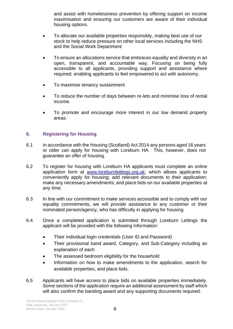and assist with homelessness prevention by offering support on income maximisation and ensuring our customers are aware of their individual housing options.

- To allocate our available properties responsibly, making best use of our stock to help reduce pressure on other local services including the NHS and the Social Work Department
- To ensure an allocations service that embraces equality and diversity in an open, transparent, and accountable way. Focusing on being fully accessible to all applicants, providing support and assistance where required; enabling applicants to feel empowered to act with autonomy.
- To maximise tenancy sustainment
- To reduce the number of days between re-lets and minimise loss of rental income.
- To promote and encourage more interest in our low demand property areas.

### **6. Registering for Housing**

- 6.1 In accordance with the Housing (Scotland) Act 2014 any persons aged 16 years or older can apply for housing with Loreburn HA. This, however, does not guarantee an offer of housing.
- 6.2 To register for housing with Loreburn HA applicants must complete an online application form at [www.loreburnlettings.org.uk;](http://www.loreburnlettings.org.uk/) which allows applicants to conveniently apply for housing; add relevant documents to their application; make any necessary amendments; and place bids on our available properties at any time.
- 6.3 In line with our commitment to make services accessible and to comply with our equality commitments, we will provide assistance to any customer or their nominated person/agency, who has difficulty in applying for housing.
- 6.4 Once a completed application is submitted through Loreburn Lettings the applicant will be provided with the following information:
	- Their individual login credentials (User ID and Password)
	- Their provisional band award, Category, and Sub-Category including an explanation of each
	- The assessed bedroom eligibility for the household
	- Information on how to make amendments to the application, search for available properties, and place bids.
- 6.5 Applicants will have access to place bids on available properties immediately. Some sections of the application require an additional assessment by staff which will also confirm the banding award and any supporting documents required.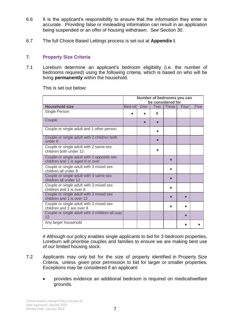- 6.6 It is the applicant's responsibility to ensure that the information they enter is accurate. Providing false or misleading information can result in an application being suspended or an offer of housing withdrawn. See Section 30.
- 6.7 The full Choice Based Lettings process is set out at **Appendix I**.

#### **7. Property Size Criteria**

7.1 Loreburn determine an applicant's bedroom eligibility (i.e. the number of bedrooms required) using the following criteria, which is based on who will be living **permanently** within the household.

This is set out below:

|                                                                                | Number of bedrooms you can<br>be considered for |     |     |       |      |             |
|--------------------------------------------------------------------------------|-------------------------------------------------|-----|-----|-------|------|-------------|
| <b>Household size</b>                                                          | Bed-sit                                         | One | Two | Three | Four | <b>Five</b> |
| Single Person                                                                  |                                                 |     | #   |       |      |             |
| Couple                                                                         |                                                 |     |     |       |      |             |
| Couple or single adult and 1 other person                                      |                                                 |     |     |       |      |             |
| Couple or single adult with 2 children both<br>under 8                         |                                                 |     |     |       |      |             |
| Couple or single adult with 2 same sex<br>children both under 12               |                                                 |     |     |       |      |             |
| Couple or single adult with 2 opposite sex<br>children and 1 is aged 8 or over |                                                 |     |     |       |      |             |
| Couple or single adult with 3 mixed sex<br>children all under 8                |                                                 |     |     |       |      |             |
| Couple or single adult with 3 same sex<br>children all under 12                |                                                 |     |     |       |      |             |
| Couple or single adult with 3 mixed sex<br>children and 1 is over 8            |                                                 |     |     |       |      |             |
| Couple or single adult with 3 mixed sex<br>children and 1 is over 12           |                                                 |     |     |       |      |             |
| Couple or single adult with 3 mixed sex<br>children and 2 are over 8           |                                                 |     |     |       |      |             |
| Couple or single adult with 3 children all over<br>12                          |                                                 |     |     |       |      |             |
| Any larger household                                                           |                                                 |     |     |       |      |             |

# Although our policy enables single applicants to bid for 2-bedroom properties, Loreburn will prioritise couples and families to ensure we are making best use of our limited housing stock.

- 7.2 Applicants may only bid for the size of property identified in Property Size Criteria, unless given prior permission to bid for larger or smaller properties. Exceptions may be considered if an applicant:
	- provides evidence an additional bedroom is required on medical/welfare grounds.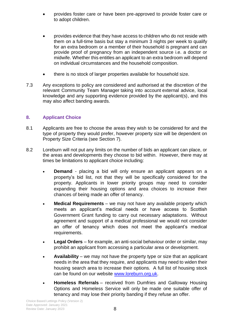- provides foster care or have been pre-approved to provide foster care or to adopt children.
- provides evidence that they have access to children who do not reside with them on a full-time basis but stay a minimum 3 nights per week to qualify for an extra bedroom or a member of their household is pregnant and can provide proof of pregnancy from an independent source i.e. a doctor or midwife. Whether this entitles an applicant to an extra bedroom will depend on individual circumstances and the household composition.
- there is no stock of larger properties available for household size.
- 7.3 Any exceptions to policy are considered and authorised at the discretion of the relevant Community Team Manager taking into account external advice, local knowledge and any supporting evidence provided by the applicant(s), and this may also affect banding awards.

### **8. Applicant Choice**

- 8.1 Applicants are free to choose the areas they wish to be considered for and the type of property they would prefer, however property size will be dependent on Property Size Criteria (see Section 7).
- 8.2 Loreburn will not put any limits on the number of bids an applicant can place, or the areas and developments they choose to bid within. However, there may at times be limitations to applicant choice including:
	- **Demand**  placing a bid will only ensure an applicant appears on a property's bid list, not that they will be specifically considered for the property. Applicants in lower priority groups may need to consider expanding their housing options and area choices to increase their chances of being made an offer of tenancy.
	- **Medical Requirements** we may not have any available property which meets an applicant's medical needs or have access to Scottish Government Grant funding to carry out necessary adaptations. Without agreement and support of a medical professional we would not consider an offer of tenancy which does not meet the applicant's medical requirements.
	- **Legal Orders** for example, an anti-social behaviour order or similar, may prohibit an applicant from accessing a particular area or development.
	- **Availability** we may not have the property type or size that an applicant needs in the area that they require, and applicants may need to widen their housing search area to increase their options. A full list of housing stock can be found on our website [www.loreburn.org.uk.](http://www.loreburn.org.uk/)
	- **Homeless Referrals** received from Dumfries and Galloway Housing Options and Homeless Service will only be made one suitable offer of tenancy and may lose their priority banding if they refuse an offer.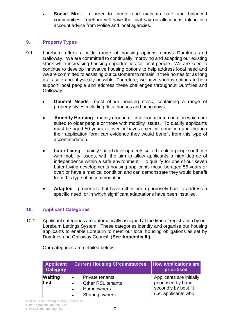• **Social Mix** – in order to create and maintain safe and balanced communities, Loreburn will have the final say on allocations, taking into account advice from Police and local agencies.

### **9. Property Types**

- 9.1 Loreburn offers a wide range of housing options across Dumfries and Galloway. We are committed to continually improving and adapting our existing stock while increasing housing opportunities for local people. We are keen to continue to develop innovative housing options to help address local need and we are committed to assisting our customers to remain in their homes for as long as is safe and physically possible. Therefore, we have various options to help support local people and address these challenges throughout Dumfries and Galloway:
	- **General Needs** most of our housing stock, containing a range of property styles including flats, houses and bungalows.
	- **Amenity Housing** mainly ground or first floor accommodation which are suited to older people or those with mobility issues. To qualify applicants must be aged 50 years or over or have a medical condition and through their application form can evidence they would benefit from this type of accommodation.
	- **Later Living** mainly flatted developments suited to older people or those with mobility issues, with the aim to allow applicants a high degree of independence within a safe environment. To qualify for one of our seven Later Living developments housing applicants must; be aged 55 years or over; or have a medical condition and can demonstrate they would benefit from this type of accommodation.
	- **Adapted -** properties that have either been purposely built to address a specific need; or in which significant adaptations have been installed.

### **10. Applicant Categories**

10.1 Applicant categories are automatically assigned at the time of registration by our Loreburn Lettings System. These categories identify and organise our housing applicants to enable Loreburn to meet our local housing obligations as set by Dumfries and Galloway Council. (**See Appendix III).**

| <b>Applicant</b><br><b>Category</b> | <b>Current Housing Circumstances</b>                                                                                                                 | <b>How applications are</b><br>prioritised                                                       |
|-------------------------------------|------------------------------------------------------------------------------------------------------------------------------------------------------|--------------------------------------------------------------------------------------------------|
| <b>Waiting</b><br>List              | <b>Private tenants</b><br>$\bullet$<br><b>Other RSL tenants</b><br>$\bullet$<br><b>Homeowners</b><br>$\bullet$<br><b>Sharing owners</b><br>$\bullet$ | Applicants are initially<br>prioritised by band,<br>secondly by best fit<br>(i.e. applicants who |

Our categories are detailed below: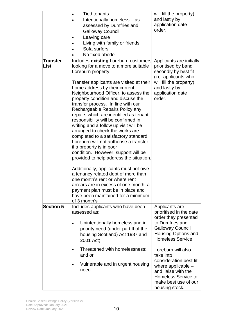|                         | <b>Tied tenants</b><br>Intentionally homeless - as<br>assessed by Dumfries and<br><b>Galloway Council</b><br>Leaving care<br>Living with family or friends<br>Sofa surfers<br>No fixed abode                                                                                                                                                                                                                                                                                                                                                                                                                                                                                                                                                                                                                                                                                                                                                                | will fill the property)<br>and lastly by<br>application date<br>order.                                                                                                                                |
|-------------------------|-------------------------------------------------------------------------------------------------------------------------------------------------------------------------------------------------------------------------------------------------------------------------------------------------------------------------------------------------------------------------------------------------------------------------------------------------------------------------------------------------------------------------------------------------------------------------------------------------------------------------------------------------------------------------------------------------------------------------------------------------------------------------------------------------------------------------------------------------------------------------------------------------------------------------------------------------------------|-------------------------------------------------------------------------------------------------------------------------------------------------------------------------------------------------------|
| <b>Transfer</b><br>List | Includes existing Loreburn customers<br>looking for a move to a more suitable<br>Loreburn property.<br>Transfer applicants are visited at their<br>home address by their current<br>Neighbourhood Officer, to assess the<br>property condition and discuss the<br>transfer process. In line with our<br>Rechargeable Repairs Policy any<br>repairs which are identified as tenant<br>responsibility will be confirmed in<br>writing and a follow up visit will be<br>arranged to check the works are<br>completed to a satisfactory standard.<br>Loreburn will not authorise a transfer<br>if a property is in poor<br>condition. However, support will be<br>provided to help address the situation.<br>Additionally, applicants must not owe<br>a tenancy related debt of more than<br>one month's rent or where rent<br>arrears are in excess of one month, a<br>payment plan must be in place and<br>have been maintained for a minimum<br>of 3 month's | Applicants are initially<br>prioritised by band,<br>secondly by best fit<br>(i.e. applicants who<br>will fill the property)<br>and lastly by<br>application date<br>order.                            |
| <b>Section 5</b>        | Includes applicants who have been<br>assessed as:<br>Unintentionally homeless and in<br>priority need (under part II of the<br>housing Scotland) Act 1987 and                                                                                                                                                                                                                                                                                                                                                                                                                                                                                                                                                                                                                                                                                                                                                                                               | Applicants are<br>prioritised in the date<br>order they presented<br>to Dumfries and<br><b>Galloway Council</b><br>Housing Options and                                                                |
|                         | 2001 Act);<br>Threatened with homelessness;<br>and or<br>Vulnerable and in urgent housing<br>need.                                                                                                                                                                                                                                                                                                                                                                                                                                                                                                                                                                                                                                                                                                                                                                                                                                                          | Homeless Service.<br>Loreburn will also<br>take into<br>consideration best fit<br>where applicable $-$<br>and liaise with the<br><b>Homeless Service to</b><br>make best use of our<br>housing stock. |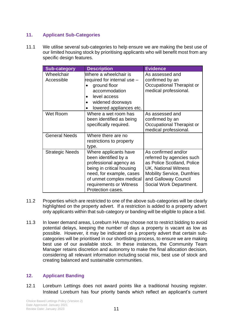#### **11. Applicant Sub-Categories**

11.1 We utilise several sub-categories to help ensure we are making the best use of our limited housing stock by prioritising applicants who will benefit most from any specific design features.

| <b>Sub-category</b>      | <b>Description</b>                                                                                                                                                                                           | <b>Evidence</b>                                                                                                                                                                                       |
|--------------------------|--------------------------------------------------------------------------------------------------------------------------------------------------------------------------------------------------------------|-------------------------------------------------------------------------------------------------------------------------------------------------------------------------------------------------------|
| Wheelchair<br>Accessible | Where a wheelchair is<br>required for internal use -<br>ground floor<br>accommodation<br>level access<br>widened doorways<br>lowered appliances etc.                                                         | As assessed and<br>confirmed by an<br>Occupational Therapist or<br>medical professional.                                                                                                              |
| <b>Wet Room</b>          | Where a wet room has<br>been identified as being<br>specifically required.                                                                                                                                   | As assessed and<br>confirmed by an<br>Occupational Therapist or<br>medical professional.                                                                                                              |
| <b>General Needs</b>     | Where there are no<br>restrictions to property<br>type.                                                                                                                                                      |                                                                                                                                                                                                       |
| <b>Strategic Needs</b>   | Where applicants have<br>been identified by a<br>professional agency as<br>being in critical housing<br>need, for example, cases<br>of unmet complex medical<br>requirements or Witness<br>Protection cases. | As confirmed and/or<br>referred by agencies such<br>as Police Scotland, Police<br><b>UK, National Witness</b><br><b>Mobility Service, Dumfries</b><br>and Galloway Council<br>Social Work Department. |

- 11.2 Properties which are restricted to one of the above sub-categories will be clearly highlighted on the property advert. If a restriction is added to a property advert only applicants within that sub-category or banding will be eligible to place a bid.
- 11.3 In lower demand areas, Loreburn HA may choose not to restrict bidding to avoid potential delays, keeping the number of days a property is vacant as low as possible. However, it may be indicated on a property advert that certain subcategories will be prioritised in our shortlisting process, to ensure we are making best use of our available stock. In these instances, the Community Team Manager retains discretion and autonomy to make the final allocation decision, considering all relevant information including social mix, best use of stock and creating balanced and sustainable communities.

### **12. Applicant Banding**

12.1 Loreburn Lettings does not award points like a traditional housing register. Instead Loreburn has four priority bands which reflect an applicant's current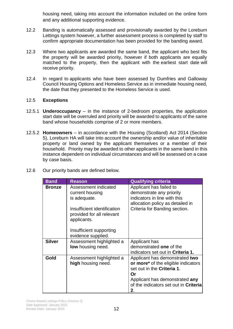housing need, taking into account the information included on the online form and any additional supporting evidence.

- 12.2 Banding is automatically assessed and provisionally awarded by the Loreburn Lettings system however, a further assessment process is completed by staff to confirm appropriate documentation has been provided for the banding award.
- 12.3 Where two applicants are awarded the same band, the applicant who best fits the property will be awarded priority, however if both applicants are equally matched to the property, then the applicant with the earliest start date will receive priority.
- 12.4 In regard to applicants who have been assessed by Dumfries and Galloway Council Housing Options and Homeless Service as in immediate housing need, the date that they presented to the Homeless Service is used.

#### 12.5 **Exceptions**

- 12.5.1 **Underoccupancy** in the instance of 2-bedroom properties, the application start date will be overruled and priority will be awarded to applicants of the same band whose households comprise of 2 or more members.
- 12.5.2 **Homeowners** in accordance with the Housing (Scotland) Act 2014 (Section 5), Loreburn HA will take into account the ownership and/or value of inheritable property or land owned by the applicant themselves or a member of their household. Priority may be awarded to other applicants in the same band in this instance dependent on individual circumstances and will be assessed on a case by case basis.
- 12.6 Our priority bands are defined below.

| <b>Band</b>   | <b>Reason</b>                                                                             | <b>Qualifying criteria</b>                                                                                                                                                                 |
|---------------|-------------------------------------------------------------------------------------------|--------------------------------------------------------------------------------------------------------------------------------------------------------------------------------------------|
| <b>Bronze</b> | Assessment indicated<br>current housing<br>is adequate.<br>Insufficient identification    | Applicant has failed to<br>demonstrate any priority<br>indicators in line with this<br>allocation policy as detailed in<br>Criteria for Banding section.                                   |
|               | provided for all relevant<br>applicants.<br>Insufficient supporting<br>evidence supplied. |                                                                                                                                                                                            |
| <b>Silver</b> | Assessment highlighted a<br><b>low</b> housing need.                                      | Applicant has<br>demonstrated one of the<br>indicators set out in Criteria 1.                                                                                                              |
| Gold          | Assessment highlighted a<br>high housing need.                                            | Applicant has demonstrated two<br>or more* of the eligible indicators<br>set out in the Criteria 1.<br>Or<br>Applicant has demonstrated any<br>of the indicators set out in Criteria<br>2. |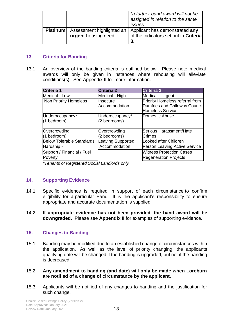|                 |                                                   | *a further band award will not be<br>assigned in relation to the same<br>issues |
|-----------------|---------------------------------------------------|---------------------------------------------------------------------------------|
| <b>Platinum</b> | Assessment highlighted an<br>urgent housing need. | Applicant has demonstrated any<br>of the indicators set out in Criteria<br>3.   |

#### **13. Criteria for Banding**

13.1 An overview of the banding criteria is outlined below. Please note medical awards will only be given in instances where rehousing will alleviate conditions(s). See Appendix II for more information.

| Criteria 1                       | <b>Criteria 2</b>        | Criteria 3                           |
|----------------------------------|--------------------------|--------------------------------------|
| Medical - Low                    | Medical - High           | Medical - Urgent                     |
| <b>Non Priority Homeless</b>     | Insecure                 | Priority Homeless referral from      |
|                                  | Accommodation            | Dumfries and Galloway Council        |
|                                  |                          | Homeless Service                     |
| Underoccupancy*                  | Underoccupancy*          | Domestic Abuse                       |
| (1 bedroom)                      | (2 bedrooms)             |                                      |
|                                  |                          |                                      |
| Overcrowding                     | Overcrowding             | Serious Harassment/Hate              |
| (1 bedroom)                      | (2 bedrooms)             | Crimes                               |
| <b>Below Tolerable Standards</b> | <b>Leaving Supported</b> | Looked after Children                |
| Hardship -                       | Accommodation            | <b>Person Leaving Active Service</b> |
| Support / Financial / Fuel       |                          | <b>Witness Protection Cases</b>      |
| Poverty                          |                          | <b>Regeneration Projects</b>         |
|                                  |                          |                                      |

*\*Tenants of Registered Social Landlords only*

#### **14. Supporting Evidence**

- 14.1 Specific evidence is required in support of each circumstance to confirm eligibility for a particular Band. It is the applicant's responsibility to ensure appropriate and accurate documentation is supplied.
- 14.2 **If appropriate evidence has not been provided, the band award will be downgraded.** Please see **Appendix II** for examples of supporting evidence.

#### **15. Changes to Banding**

- 15.1 Banding may be modified due to an established change of circumstances within the application. As well as the level of priority changing, the applicants qualifying date will be changed if the banding is upgraded, but not if the banding is decreased.
- 15.2 **Any amendment to banding (and date) will only be made when Loreburn are notified of a change of circumstance by the applicant.**
- 15.3 Applicants will be notified of any changes to banding and the justification for such change.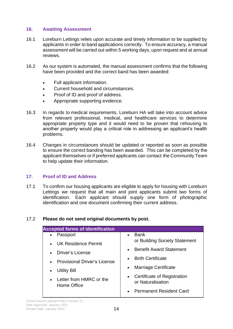#### **16. Awaiting Assessment**

- 16.1 Loreburn Lettings relies upon accurate and timely information to be supplied by applicants in order to band applications correctly. To ensure accuracy, a manual assessment will be carried out within 5 working days, upon request and at annual reviews.
- 16.2 As our system is automated, the manual assessment confirms that the following have been provided and the correct band has been awarded:
	- Full applicant information.
	- Current household and circumstances.
	- Proof of ID and proof of address.
	- Appropriate supporting evidence.
- 16.3 In regards to medical requirements, Loreburn HA will take into account advice from relevant professional, medical, and healthcare services to determine appropriate property type and it would need to be proven that rehousing to another property would play a critical role in addressing an applicant's health problems.
- 16.4 Changes in circumstances should be updated or reported as soon as possible to ensure the correct banding has been awarded. This can be completed by the applicant themselves or if preferred applicants can contact the Community Team to help update their information.

### **17. Proof of ID and Address**

17.1 To confirm our housing applicants are eligible to apply for housing with Loreburn Lettings we request that all main and joint applicants submit two forms of identification. Each applicant should supply one form of photographic identification and one document confirming their current address.

### 17.2 **Please do not send original documents by post.**

| <b>Accepted forms of identification</b> |                                             |
|-----------------------------------------|---------------------------------------------|
| Passport                                | Bank                                        |
| $\bullet$                               | $\bullet$                                   |
| UK Residence Permit<br>$\bullet$        | or Building Society Statement               |
| <b>Driver's License</b>                 | <b>Benefit Award Statement</b>              |
| $\bullet$                               | $\bullet$                                   |
| <b>Provisional Driver's License</b>     | <b>Birth Certificate</b>                    |
| $\bullet$                               | $\bullet$                                   |
| Utility Bill                            | <b>Marriage Certificate</b>                 |
| $\bullet$                               | $\bullet$                                   |
| Letter from HMRC or the                 | Certificate of Registration                 |
| $\bullet$                               | $\bullet$                                   |
| Home Office                             | or Naturalisation                           |
|                                         | <b>Permanent Resident Card</b><br>$\bullet$ |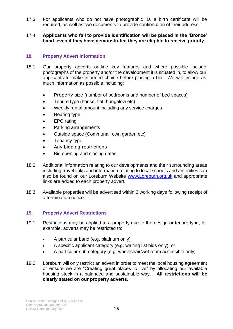17.3 For applicants who do not have photographic ID, a birth certificate will be required, as well as two documents to provide confirmation of their address.

#### 17.4 **Applicants who fail to provide identification will be placed in the 'Bronze' band, even if they have demonstrated they are eligible to receive priority.**

#### **18. Property Advert Information**

- 18.1 Our property adverts outline key features and where possible include photographs of the property and/or the development it is situated in, to allow our applicants to make informed choice before placing a bid. We will include as much information as possible including:
	- Property size (number of bedrooms and number of bed spaces)
	- Tenure type (house, flat, bungalow etc)
	- Weekly rental amount including any service charges
	- Heating type
	- EPC rating
	- Parking arrangements
	- Outside space (Communal, own garden etc)
	- Tenancy type
	- Any bidding restrictions
	- Bid opening and closing dates
- 18.2 Additional information relating to our developments and their surrounding areas including travel links and information relating to local schools and amenities can also be found on our Loreburn Website [www.Loreburn.org.uk](http://www.loreburn.org.uk/) and appropriate links are added to each property advert.
- 18.3 Available properties will be advertised within 3 working days following receipt of a termination notice.

#### **19. Property Advert Restrictions**

- 19.1 Restrictions may be applied to a property due to the design or tenure type, for example, adverts may be restricted to:
	- A particular band (e.g. platinum only)
	- A specific applicant category (e.g. waiting list bids only); or
	- A particular sub-category (e.g. wheelchair/wet room accessible only)
- 19.2 Loreburn will only restrict an advert in order to meet the local housing agreement or ensure we are "Creating great places to live" by allocating our available housing stock in a balanced and sustainable way. **All restrictions will be clearly stated on our property adverts.**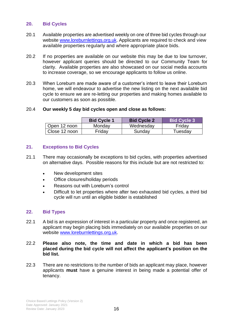#### **20. Bid Cycles**

- 20.1 Available properties are advertised weekly on one of three bid cycles through our website [www.loreburnlettings.org.uk.](http://www.loreburnlettings.org.uk/) Applicants are required to check and view available properties regularly and where appropriate place bids.
- 20.2 If no properties are available on our website this may be due to low turnover, however applicant queries should be directed to our Community Team for clarity. Available properties are also showcased on our social media accounts to increase coverage, so we encourage applicants to follow us online.
- 20.3 When Loreburn are made aware of a customer's intent to leave their Loreburn home, we will endeavour to advertise the new listing on the next available bid cycle to ensure we are re-letting our properties and making homes available to our customers as soon as possible.

#### 20.4 **Our weekly 5 day bid cycles open and close as follows:**

|               | <b>Bid Cycle 1</b> | <b>Bid Cycle 2</b> | <b>Bid Cycle 3</b> |
|---------------|--------------------|--------------------|--------------------|
| Open 12 noon  | Monday             | Wednesday          | Friday             |
| Close 12 noon | Fridav             | Sunday             | Tuesday            |

#### **21. Exceptions to Bid Cycles**

- 21.1 There may occasionally be exceptions to bid cycles, with properties advertised on alternative days. Possible reasons for this include but are not restricted to:
	- New development sites
	- Office closures/holiday periods
	- Reasons out with Loreburn's control
	- Difficult to let properties where after two exhausted bid cycles, a third bid cycle will run until an eligible bidder is established

#### **22. Bid Types**

- 22.1 A bid is an expression of interest in a particular property and once registered, an applicant may begin placing bids immediately on our available properties on our website [www.loreburnlettings.org.uk.](http://www.loreburnlettings.org.uk/)
- 22.2 **Please also note, the time and date in which a bid has been placed during the bid cycle will not affect the applicant's position on the bid list.**
- 22.3 There are no restrictions to the number of bids an applicant may place, however applicants **must** have a genuine interest in being made a potential offer of tenancy.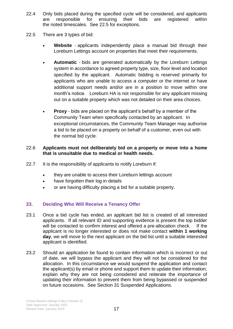- 22.4 Only bids placed during the specified cycle will be considered, and applicants are responsible for ensuring their bids are registered within the noted timescales. See 22.5 for exceptions.
- 22.5 There are 3 types of bid:
	- **Website** applicants independently place a manual bid through their Loreburn Lettings account on properties that meet their requirements.
	- **Automatic** bids are generated automatically by the Loreburn Lettings system in accordance to agreed property type, size, floor level and location specified by the applicant. Automatic bidding is reserved primarily for applicants who are unable to access a computer or the internet or have additional support needs and/or are in a position to move within one month's notice. Loreburn HA is not responsible for any applicant missing out on a suitable property which was not detailed on their area choices.
	- **Proxy** bids are placed on the applicant's behalf by a member of the Community Team when specifically contacted by an applicant. In exceptional circumstances, the Community Team Manager may authorise a bid to be placed on a property on behalf of a customer, even out with the normal bid cycle.

#### 22.6 **Applicants must not deliberately bid on a property or move into a home that is unsuitable due to medical or health needs.**

- 22.7 It is the responsibility of applicants to notify Loreburn if:
	- they are unable to access their Loreburn lettings account
	- have forgotten their log in details
	- or are having difficulty placing a bid for a suitable property.

### **23. Deciding Who Will Receive a Tenancy Offer**

- 23.1 Once a bid cycle has ended, an applicant bid list is created of all interested applicants. If all relevant ID and supporting evidence is present the top bidder will be contacted to confirm interest and offered a pre-allocation check. If the applicant is no longer interested or does not make contact **within 1 working day**, we will move to the next applicant on the bid list until a suitable interested applicant is identified.
- 23.2 Should an application be found to contain information which is incorrect or out of date, we will bypass the applicant and they will not be considered for the allocation. In this circumstance we would suspend the application and contact the applicant(s) by email or phone and support them to update their information; explain why they are not being considered and reiterate the importance of updating their information to prevent them from being bypassed or suspended on future occasions. See Section 31 Suspended Applications.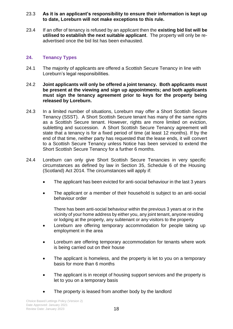#### 23.3 **As it is an applicant's responsibility to ensure their information is kept up to date, Loreburn will not make exceptions to this rule.**

23.4 If an offer of tenancy is refused by an applicant then the **existing bid list will be utilised to establish the next suitable applicant**. The property will only be readvertised once the bid list has been exhausted.

#### **24. Tenancy Types**

- 24.1 The majority of applicants are offered a Scottish Secure Tenancy in line with Loreburn's legal responsibilities.
- 24.2 **Joint applicants will only be offered a joint tenancy. Both applicants must be present at the viewing and sign up appointments; and both applicants must sign the tenancy agreement prior to keys for the property being released by Loreburn.**
- 24.3 In a limited number of situations, Loreburn may offer a Short Scottish Secure Tenancy (SSST). A Short Scottish Secure tenant has many of the same rights as a Scottish Secure tenant. However, rights are more limited on eviction, subletting and succession. A Short Scottish Secure Tenancy agreement will state that a tenancy is for a fixed period of time (at least 12 months). If by the end of that time, neither party has requested that the lease ends, it will convert to a Scottish Secure Tenancy unless Notice has been serviced to extend the Short Scottish Secure Tenancy for a further 6 months.
- 24.4 Loreburn can only give Short Scottish Secure Tenancies in very specific circumstances as defined by law in Section 35, Schedule 6 of the Housing (Scotland) Act 2014. The circumstances will apply if:
	- The applicant has been evicted for anti-social behaviour in the last 3 years
	- The applicant or a member of their household is subject to an anti-social behaviour order

There has been anti-social behaviour within the previous 3 years at or in the vicinity of your home address by either you, any joint tenant, anyone residing or lodging at the property, any subtenant or any visitors to the property

- Loreburn are offering temporary accommodation for people taking up employment in the area
- Loreburn are offering temporary accommodation for tenants where work is being carried out on their house
- The applicant is homeless, and the property is let to you on a temporary basis for more than 6 months
- The applicant is in receipt of housing support services and the property is let to you on a temporary basis
- The property is leased from another body by the landlord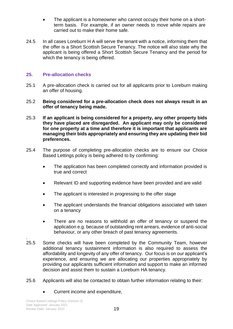- The applicant is a homeowner who cannot occupy their home on a shortterm basis. For example, if an owner needs to move while repairs are carried out to make their home safe.
- 24.5 In all cases Loreburn H A will serve the tenant with a notice, informing them that the offer is a Short Scottish Secure Tenancy. The notice will also state why the applicant is being offered a Short Scottish Secure Tenancy and the period for which the tenancy is being offered.

#### **25. Pre-allocation checks**

- 25.1 A pre-allocation check is carried out for all applicants prior to Loreburn making an offer of housing.
- 25.2 **Being considered for a pre-allocation check does not always result in an offer of tenancy being made.**
- 25.3 **If an applicant is being considered for a property, any other property bids they have placed are disregarded. An applicant may only be considered for one property at a time and therefore it is important that applicants are managing their bids appropriately and ensuring they are updating their bid preferences.**
- 25.4 The purpose of completing pre-allocation checks are to ensure our Choice Based Lettings policy is being adhered to by confirming:
	- The application has been completed correctly and information provided is true and correct
	- Relevant ID and supporting evidence have been provided and are valid
	- The applicant is interested in progressing to the offer stage
	- The applicant understands the financial obligations associated with taken on a tenancy
	- There are no reasons to withhold an offer of tenancy or suspend the application e.g. because of outstanding rent arrears, evidence of anti-social behaviour, or any other breach of past tenancy agreements.
- . 25.5 Some checks will have been completed by the Community Team, however additional tenancy sustainment information is also required to assess the affordability and longevity of any offer of tenancy. Our focus is on our applicant's experience, and ensuring we are allocating our properties appropriately by providing our applicants sufficient information and support to make an informed decision and assist them to sustain a Loreburn HA tenancy.
- 25.6 Applicants will also be contacted to obtain further information relating to their:
	- Current income and expenditure,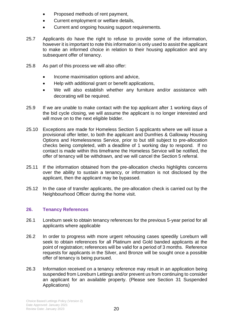- Proposed methods of rent payment,
- Current employment or welfare details,
- Current and ongoing housing support requirements.
- 25.7 Applicants do have the right to refuse to provide some of the information, however it is important to note this information is only used to assist the applicant to make an informed choice in relation to their housing application and any subsequent offer of tenancy.
- 25.8 As part of this process we will also offer:
	- Income maximisation options and advice,
	- Help with additional grant or benefit applications,
	- We will also establish whether any furniture and/or assistance with decorating will be required.
- 25.9 If we are unable to make contact with the top applicant after 1 working days of the bid cycle closing, we will assume the applicant is no longer interested and will move on to the next eligible bidder.
- 25.10 Exceptions are made for Homeless Section 5 applicants where we will issue a provisional offer letter, to both the applicant and Dumfries & Galloway Housing Options and Homelessness Service, prior to but still subject to pre-allocation checks being completed, with a deadline of 1 working day to respond. If no contact is made within this timeframe the Homeless Service will be notified, the offer of tenancy will be withdrawn, and we will cancel the Section 5 referral.
- 25.11 If the information obtained from the pre-allocation checks highlights concerns over the ability to sustain a tenancy, or information is not disclosed by the applicant, then the applicant may be bypassed.
- 25.12 In the case of transfer applicants, the pre-allocation check is carried out by the Neighbourhood Officer during the home visit.

### **26. Tenancy References**

- 26.1 Loreburn seek to obtain tenancy references for the previous 5-year period for all applicants where applicable
- 26.2 In order to progress with more urgent rehousing cases speedily Loreburn will seek to obtain references for all Platinum and Gold banded applicants at the point of registration; references will be valid for a period of 3 months. Reference requests for applicants in the Silver, and Bronze will be sought once a possible offer of tenancy is being pursued.
- 26.3 Information received on a tenancy reference may result in an application being suspended from Loreburn Lettings and/or prevent us from continuing to consider an applicant for an available property. (Please see Section 31 Suspended Applications)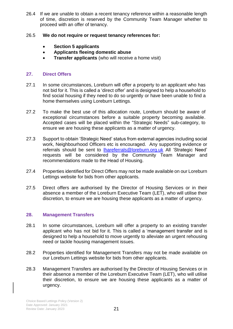26.4 If we are unable to obtain a recent tenancy reference within a reasonable length of time, discretion is reserved by the Community Team Manager whether to proceed with an offer of tenancy.

#### 26.5 **We do not require or request tenancy references for:**

- **Section 5 applicants**
- **Applicants fleeing domestic abuse**
- **Transfer applicants** (who will receive a home visit)

#### **27. Direct Offers**

- 27.1 In some circumstances, Loreburn will offer a property to an applicant who has not bid for it. This is called a 'direct offer' and is designed to help a household to find social housing if they need to do so urgently or have been unable to find a home themselves using Loreburn Lettings.
- 27.2 To make the best use of this allocation route, Loreburn should be aware of exceptional circumstances before a suitable property becoming available. Accepted cases will be placed within the "Strategic Needs" sub-category, to ensure we are housing these applicants as a matter of urgency.
- 27.3 Support to obtain 'Strategic Need' status from external agencies including social work, Neighbourhood Officers etc is encouraged. Any supporting evidence or referrals should be sent to *Ihareferrals@loreburn.org.uk All* 'Strategic Need' requests will be considered by the Community Team Manager and recommendations made to the Head of Housing.
- 27.4 Properties identified for Direct Offers may not be made available on our Loreburn Lettings website for bids from other applicants.
- 27.5 Direct offers are authorised by the Director of Housing Services or in their absence a member of the Loreburn Executive Team (LET), who will utilise their discretion, to ensure we are housing these applicants as a matter of urgency.

#### **28. Management Transfers**

- 28.1 In some circumstances, Loreburn will offer a property to an existing transfer applicant who has not bid for it. This is called a 'management transfer and is designed to help a household to move urgently to alleviate an urgent rehousing need or tackle housing management issues.
- 28.2 Properties identified for Management Transfers may not be made available on our Loreburn Lettings website for bids from other applicants.
- 28.3 Management Transfers are authorised by the Director of Housing Services or in their absence a member of the Loreburn Executive Team (LET), who will utilise their discretion, to ensure we are housing these applicants as a matter of urgency.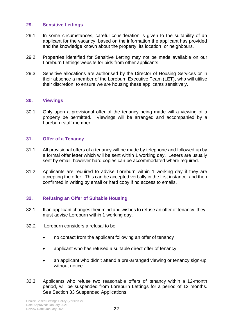#### **29. Sensitive Lettings**

- 29.1 In some circumstances, careful consideration is given to the suitability of an applicant for the vacancy, based on the information the applicant has provided and the knowledge known about the property, its location, or neighbours.
- 29.2 Properties identified for Sensitive Letting may not be made available on our Loreburn Lettings website for bids from other applicants.
- 29.3 Sensitive allocations are authorised by the Director of Housing Services or in their absence a member of the Loreburn Executive Team (LET), who will utilise their discretion, to ensure we are housing these applicants sensitively.

#### **30. Viewings**

30.1 Only upon a provisional offer of the tenancy being made will a viewing of a property be permitted. Viewings will be arranged and accompanied by a Loreburn staff member.

#### **31. Offer of a Tenancy**

- 31.1 All provisional offers of a tenancy will be made by telephone and followed up by a formal offer letter which will be sent within 1 working day. Letters are usually sent by email, however hard copies can be accommodated where required.
- 31.2 Applicants are required to advise Loreburn within 1 working day if they are accepting the offer. This can be accepted verbally in the first instance, and then confirmed in writing by email or hard copy if no access to emails.

#### **32. Refusing an Offer of Suitable Housing**

- 32.1 If an applicant changes their mind and wishes to refuse an offer of tenancy, they must advise Loreburn within 1 working day.
- 32.2 Loreburn considers a refusal to be:
	- no contact from the applicant following an offer of tenancy
	- applicant who has refused a suitable direct offer of tenancy
	- an applicant who didn't attend a pre-arranged viewing or tenancy sign-up without notice
- 32.3 Applicants who refuse two reasonable offers of tenancy within a 12-month period, will be suspended from Loreburn Lettings for a period of 12 months. See Section 33 Suspended Applications.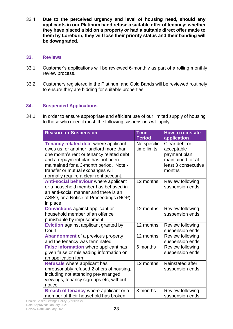32.4 **Due to the perceived urgency and level of housing need, should any applicants in our Platinum band refuse a suitable offer of tenancy; whether they have placed a bid on a property or had a suitable direct offer made to them by Loreburn, they will lose their priority status and their banding will be downgraded.**

#### **33. Reviews**

- 33.1 Customer's applications will be reviewed 6-monthly as part of a rolling monthly review process.
- 33.2 Customers registered in the Platinum and Gold Bands will be reviewed routinely to ensure they are bidding for suitable properties.

#### **34. Suspended Applications**

34.1 In order to ensure appropriate and efficient use of our limited supply of housing to those who need it most, the following suspensions will apply:

| <b>Reason for Suspension</b>                                                                                                                                                                                                                                                               | <b>Time</b><br><b>Period</b> | <b>How to reinstate</b><br>application                                                            |
|--------------------------------------------------------------------------------------------------------------------------------------------------------------------------------------------------------------------------------------------------------------------------------------------|------------------------------|---------------------------------------------------------------------------------------------------|
| Tenancy related debt where applicant<br>owes us, or another landlord more than<br>one month's rent or tenancy related debt,<br>and a repayment plan has not been<br>maintained for a 3-month period. Note -<br>transfer or mutual exchanges will<br>normally require a clear rent account. | No specific<br>time limits   | Clear debt or<br>acceptable<br>payment plan<br>maintained for at<br>least 3 consecutive<br>months |
| Anti-social behaviour where applicant<br>or a household member has behaved in<br>an anti-social manner and there is an<br>ASBO, or a Notice of Proceedings (NOP)<br>in place                                                                                                               | 12 months                    | Review following<br>suspension ends                                                               |
| <b>Convictions</b> against applicant or<br>household member of an offence<br>punishable by imprisonment                                                                                                                                                                                    | 12 months                    | Review following<br>suspension ends                                                               |
| <b>Eviction</b> against applicant granted by<br>Court                                                                                                                                                                                                                                      | 12 months                    | Review following<br>suspension ends                                                               |
| <b>Abandonment of a previous property</b><br>and the tenancy was terminated                                                                                                                                                                                                                | 12 months                    | Review following<br>suspension ends                                                               |
| False information where applicant has<br>given false or misleading information on<br>an application form                                                                                                                                                                                   | 6 months                     | Review following<br>suspension ends                                                               |
| Refusals where applicant has<br>unreasonably refused 2 offers of housing,<br>including not attending pre-arranged<br>viewings, tenancy sign-ups etc, without<br>notice                                                                                                                     | 12 months                    | <b>Reinstated after</b><br>suspension ends                                                        |
| Breach of tenancy where applicant or a<br>member of their household has broken                                                                                                                                                                                                             | 3 months                     | Review following<br>suspension ends                                                               |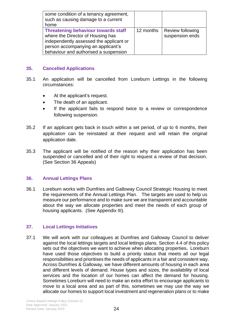| some condition of a tenancy agreement,<br>such as causing damage to a current<br>home                                                                                                                     |           |                                     |
|-----------------------------------------------------------------------------------------------------------------------------------------------------------------------------------------------------------|-----------|-------------------------------------|
| <b>Threatening behaviour towards staff</b><br>where the Director of Housing has<br>independently assessed the applicant or<br>person accompanying an applicant's<br>behaviour and authorised a suspension | 12 months | Review following<br>suspension ends |

#### **35. Cancelled Applications**

- 35.1 An application will be cancelled from Loreburn Lettings in the following circumstances:
	- At the applicant's request.
	- The death of an applicant.
	- If the applicant fails to respond twice to a review or correspondence following suspension.
- 35.2 If an applicant gets back in touch within a set period, of up to 6 months, their application can be reinstated at their request and will retain the original application date.
- 35.3 The applicant will be notified of the reason why their application has been suspended or cancelled and of their right to request a review of that decision. (See Section 36 Appeals)

#### **36. Annual Lettings Plans**

36.1 Loreburn works with Dumfries and Galloway Council Strategic Housing to meet the requirements of the Annual Lettings Plan. The targets are used to help us measure our performance and to make sure we are transparent and accountable about the way we allocate properties and meet the needs of each group of housing applicants. (See Appendix III).

#### **37. Local Lettings Initiatives**

37.1 We will work with our colleagues at Dumfries and Galloway Council to deliver against the local lettings targets and local lettings plans. Section 4.4 of this policy sets out the objectives we want to achieve when allocating properties**.** Loreburn have used those objectives to build a priority status that meets all our legal responsibilities and prioritises the needs of applicants in a fair and consistent way. Across Dumfries & Galloway, we have different amounts of housing in each area and different levels of demand. House types and sizes, the availability of local services and the location of our homes can affect the demand for housing. Sometimes Loreburn will need to make an extra effort to encourage applicants to move to a local area and as part of this, sometimes we may use the way we allocate our homes to support local investment and regeneration plans or to make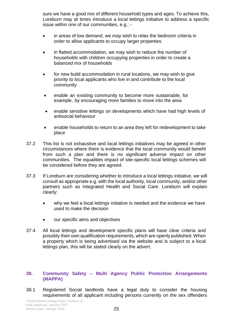sure we have a good mix of different household types and ages. To achieve this, Loreburn may at times introduce a local lettings initiative to address a specific issue within one of our communities, e.g.: -

- in areas of low demand, we may wish to relax the bedroom criteria in order to allow applicants to occupy larger properties
- in flatted accommodation, we may wish to reduce the number of households with children occupying properties in order to create a balanced mix of households
- for new build accommodation in rural locations, we may wish to give priority to local applicants who live in and contribute to the local community
- enable an existing community to become more sustainable, for example, by encouraging more families to move into the area
- enable sensitive lettings on developments which have had high levels of antisocial behaviour
- enable households to return to an area they left for redevelopment to take place
- 37.2 This list is not exhaustive and local lettings initiatives may be agreed in other circumstances where there is evidence that the local community would benefit from such a plan and there is no significant adverse impact on other communities. The equalities impact of site-specific local lettings schemes will be considered before they are agreed.
- 37.3 If Loreburn are considering whether to introduce a local lettings initiative, we will consult as appropriate e.g. with the local authority, local community, and/or other partners such as Integrated Health and Social Care. Loreburn will explain clearly:
	- why we feel a local lettings initiative is needed and the evidence we have used to make the decision
	- our specific aims and objectives
- 37.4 All local lettings and development specific plans will have clear criteria and possibly their own qualification requirements, which are openly published. When a property which is being advertised via the website and is subject to a local lettings plan, this will be stated clearly on the advert.

#### **38. Community Safety – Multi Agency Public Protection Arrangements (MAPPA)**

38.1 Registered Social landlords have a legal duty to consider the housing requirements of all applicant including persons currently on the sex offenders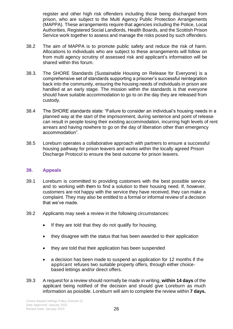register and other high risk offenders including those being discharged from prison, who are subject to the Multi Agency Public Protection Arrangements (MAPPA). These arrangements require that agencies including the Police, Local Authorities, Registered Social Landlords, Health Boards, and the Scottish Prison Service work together to assess and manage the risks posed by such offenders.

- 38.2 The aim of MAPPA is to promote public safety and reduce the risk of harm. Allocations to individuals who are subject to these arrangements will follow on from multi agency scrutiny of assessed risk and applicant's information will be shared within this forum.
- 38.3. The SHORE Standards (Sustainable Housing on Release for Everyone) is a comprehensive set of standards supporting a prisoner's successful reintegration back into the community, ensuring the housing needs of individuals in prison are handled at an early stage. The mission within the standards is that everyone should have suitable accommodation to go to on the day they are released from custody.
- 38.4 The SHORE standards state: "Failure to consider an individual's housing needs in a planned way at the start of the imprisonment, during sentence and point of release can result in people losing their existing accommodation, incurring high levels of rent arrears and having nowhere to go on the day of liberation other than emergency accommodation".
- 38.5 Loreburn operates a collaborative approach with partners to ensure a successful housing pathway for prison leavers and works within the locally agreed Prison Discharge Protocol to ensure the best outcome for prison leavers.

#### **39. Appeals**

- 39.1 Loreburn is committed to providing customers with the best possible service and to working with them to find a solution to their housing need. If, however, customers are not happy with the service they have received, they can make a complaint. They may also be entitled to a formal or informal review of a decision that we've made.
- 39.2 Applicants may seek a review in the following circumstances:
	- If they are told that they do not qualify for housing.
	- they disagree with the status that has been awarded to their application
	- they are told that their application has been suspended
	- a decision has been made to suspend an application for 12 months if the applicant refuses two suitable property offers, through either choicebased lettings and/or direct offers.
- 39.3 A request for a review should normally be made in writing, **within 14 days** of the applicant being notified of the decision and should give Loreburn as much information as possible. Loreburn will aim to complete the review within **7 days.**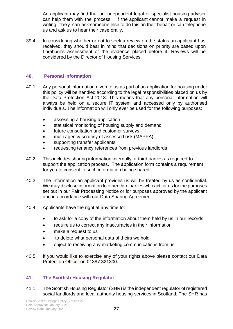An applicant may find that an independent legal or specialist housing adviser can help them with the process. If the applicant cannot make a request in writing, they can ask someone else to do this on their behalf or can telephone us and ask us to hear their case orally.

39.4 In considering whether or not to seek a review on the status an applicant has received, they should bear in mind that decisions on priority are based upon Loreburn's assessment of the evidence placed before it. Reviews will be considered by the Director of Housing Services.

#### **40. Personal Information**

- 40.1 Any personal information given to us as part of an application for housing under this policy will be handled according to the legal responsibilities placed on us by the Data Protection Act 2018. This means that any personal information will always be held on a secure IT system and accessed only by authorised individuals. The information will only ever be used for the following purposes:
	- assessing a housing application
	- statistical monitoring of housing supply and demand
	- future consultation and customer surveys.
	- multi agency scrutiny of assessed risk (MAPPA)
	- supporting transfer applicants
	- requesting tenancy references from previous landlords
- 40.2 This includes sharing information internally or third parties as required to support the application process. The application form contains a requirement for you to consent to such information being shared.
- 40.3 The information an applicant provides us will be treated by us as confidential. We may disclose information to other third parties who act for us for the purposes set out in our Fair Processing Notice or for purposes approved by the applicant and in accordance with our Data Sharing Agreement.
- 40.4. Applicants have the right at any time to:
	- to ask for a copy of the information about them held by us in our records
	- require us to correct any inaccuracies in their information
	- make a request to us
	- to delete what personal data of theirs we hold
	- object to receiving any marketing communications from us
- 40.5 If you would like to exercise any of your rights above please contact our Data Protection Officer on 01387 321300.

### **41. The Scottish Housing Regulator**

41.1 The Scottish Housing Regulator (SHR) is the independent regulator of registered social landlords and local authority housing services in Scotland. The SHR has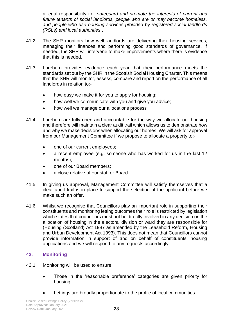a legal responsibility to: *"safeguard and promote the interests of current and future tenants of social landlords, people who are or may become homeless, and people who use housing services provided by registered social landlords (RSLs) and local authorities".*

- 41.2 The SHR monitors how well landlords are delivering their housing services, managing their finances and performing good standards of governance. If needed, the SHR will intervene to make improvements where there is evidence that this is needed.
- 41.3 Loreburn provides evidence each year that their performance meets the standards set out by the SHR in the Scottish Social Housing Charter. This means that the SHR will monitor, assess, compare and report on the performance of all landlords in relation to:-
	- how easy we make it for you to apply for housing;
	- how well we communicate with you and give you advice;
	- how well we manage our allocations process
- 41.4 Loreburn are fully open and accountable for the way we allocate our housing and therefore will maintain a clear audit trail which allows us to demonstrate how and why we make decisions when allocating our homes. We will ask for approval from our Management Committee if we propose to allocate a property to:-
	- one of our current employees;
	- a recent employee (e.g. someone who has worked for us in the last 12 months);
	- one of our Board members;
	- a close relative of our staff or Board.
- 41.5 In giving us approval, Management Committee will satisfy themselves that a clear audit trail is in place to support the selection of the applicant before we make such an offer.
- 41.6 Whilst we recognise that Councillors play an important role in supporting their constituents and monitoring letting outcomes their role is restricted by legislation which states that councillors must not be directly involved in any decision on the allocation of housing in the electoral division or ward they are responsible for (Housing (Scotland) Act 1987 as amended by the Leasehold Reform, Housing and Urban Development Act 1993). This does not mean that Councillors cannot provide information in support of and on behalf of constituents' housing applications and we will respond to any requests accordingly.

### **42. Monitoring**

- 42.1 Monitoring will be used to ensure:
	- Those in the 'reasonable preference' categories are given priority for housing
	- Lettings are broadly proportionate to the profile of local communities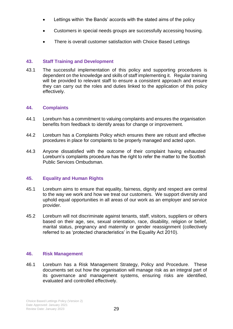- Lettings within 'the Bands' accords with the stated aims of the policy
- Customers in special needs groups are successfully accessing housing.
- There is overall customer satisfaction with Choice Based Lettings

#### **43. Staff Training and Development**

43.1 The successful implementation of this policy and supporting procedures is dependent on the knowledge and skills of staff implementing it. Regular training will be provided to relevant staff to ensure a consistent approach and ensure they can carry out the roles and duties linked to the application of this policy effectively.

#### **44. Complaints**

- 44.1 Loreburn has a commitment to valuing complaints and ensures the organisation benefits from feedback to identify areas for change or improvement.
- 44.2 Loreburn has a Complaints Policy which ensures there are robust and effective procedures in place for complaints to be properly managed and acted upon.
- 44.3 Anyone dissatisfied with the outcome of their complaint having exhausted Loreburn's complaints procedure has the right to refer the matter to the Scottish Public Services Ombudsman.

#### **45. Equality and Human Rights**

- 45.1 Loreburn aims to ensure that equality, fairness, dignity and respect are central to the way we work and how we treat our customers. We support diversity and uphold equal opportunities in all areas of our work as an employer and service provider.
- 45.2 Loreburn will not discriminate against tenants, staff, visitors, suppliers or others based on their age, sex, sexual orientation, race, disability, religion or belief, marital status, pregnancy and maternity or gender reassignment (collectively referred to as 'protected characteristics' in the Equality Act 2010).

#### **46. Risk Management**

46.1 Loreburn has a Risk Management Strategy, Policy and Procedure. These documents set out how the organisation will manage risk as an integral part of its governance and management systems, ensuring risks are identified, evaluated and controlled effectively.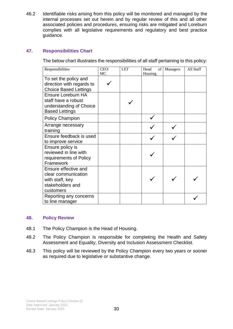46.2 Identifiable risks arising from this policy will be monitored and managed by the internal processes set out herein and by regular review of this and all other associated policies and procedures, ensuring risks are mitigated and Loreburn complies with all legislative requirements and regulatory and best practice guidance.

### **47. Responsibilities Chart**

The below chart illustrates the responsibilities of all staff pertaining to this policy:

| Responsibilities                                                                                | CEO/<br>MC | <b>LET</b> | Head<br>Housing | of Managers | All Staff |
|-------------------------------------------------------------------------------------------------|------------|------------|-----------------|-------------|-----------|
| To set the policy and<br>direction with regards to<br><b>Choice Based Lettings</b>              |            |            |                 |             |           |
| Ensure Loreburn HA<br>staff have a robust<br>understanding of Choice<br><b>Based Lettings</b>   |            |            |                 |             |           |
| <b>Policy Champion</b>                                                                          |            |            |                 |             |           |
| Arrange necessary<br>training                                                                   |            |            |                 |             |           |
| Ensure feedback is used<br>to improve service                                                   |            |            |                 |             |           |
| Ensure policy is<br>reviewed in line with<br>requirements of Policy<br>Framework                |            |            |                 |             |           |
| Ensure effective and<br>clear communication<br>with staff, key<br>stakeholders and<br>customers |            |            |                 |             |           |
| Reporting any concerns<br>to line manager                                                       |            |            |                 |             |           |

#### **48. Policy Review**

- 48.1 The Policy Champion is the Head of Housing.
- 48.2 The Policy Champion is responsible for completing the Health and Safety Assessment and Equality, Diversity and Inclusion Assessment Checklist.
- 48.3 This policy will be reviewed by the Policy Champion every two years or sooner as required due to legislative or substantive change.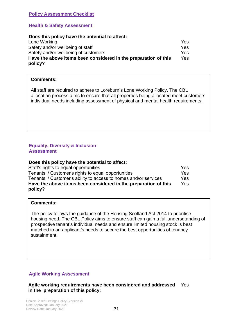#### **Policy Assessment Checklist**

#### **Health & Safety Assessment**

#### **Does this policy have the potential to affect:**

| Lone Working                                                    | Yes. |
|-----------------------------------------------------------------|------|
| Safety and/or wellbeing of staff                                | Yes. |
| Safety and/or wellbeing of customers                            | Yes: |
| Have the above items been considered in the preparation of this | Yes. |
| policy?                                                         |      |

#### **Comments:**

All staff are required to adhere to Loreburn's Lone Working Policy. The CBL allocation process aims to ensure that all properties being allocated meet customers individual needs including assessment of physical and mental health requirements.

#### **Equality, Diversity & Inclusion Assessment**

#### **Does this policy have the potential to affect:**

| Staff's rights to equal opportunities                            | Yes. |
|------------------------------------------------------------------|------|
| Tenants' / Customer's rights to equal opportunities              | Yes. |
| Tenants' / Customer's ability to access to homes and/or services | Yes. |
| Have the above items been considered in the preparation of this  | Yes. |
| policy?                                                          |      |

#### **Comments:**

The policy follows the guidance of the Housing Scotland Act 2014 to prioritise housing need. The CBL Policy aims to ensure staff can gain a full undersdtanding of prospective tenant's individual needs and ensure limited housing stock is best matched to an applicant's needs to secure the best opportunities of tenancy sustainment.

#### **Agile Working Assessment**

**Agile working requirements have been considered and addressed**  Yes **in the preparation of this policy:**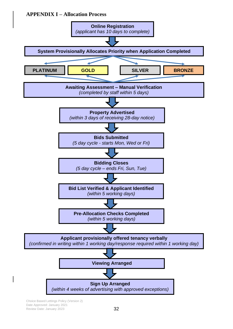### **APPENDIX I – Allocation Process**



Choice Based Lettings Policy (Version 2) Date Approved: January 2021 Review Date: January 2023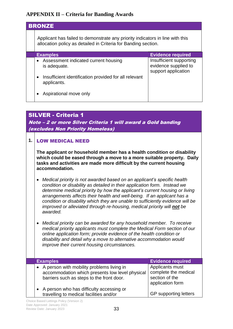### **APPENDIX II – Criteria for Banding Awards**

| <b>BRONZE</b>                                                                                                                                   |                                                                        |  |
|-------------------------------------------------------------------------------------------------------------------------------------------------|------------------------------------------------------------------------|--|
| Applicant has failed to demonstrate any priority indicators in line with this<br>allocation policy as detailed in Criteria for Banding section. |                                                                        |  |
| <b>Examples</b>                                                                                                                                 | <b>Evidence required</b>                                               |  |
| • Assessment indicated current housing<br>is adequate.                                                                                          | Insufficient supporting<br>evidence supplied to<br>support application |  |
| Insufficient identification provided for all relevant<br>$\bullet$<br>applicants.                                                               |                                                                        |  |
| Aspirational move only                                                                                                                          |                                                                        |  |

### SILVER - Criteria 1

Note – 2 or more Silver Criteria 1 will award a Gold banding (excludes Non Priority Homeless)

### **1.** LOW MEDICAL NEED

**The applicant or household member has a health condition or disability which could be eased through a move to a more suitable property. Daily tasks and activities are made more difficult by the current housing accommodation.**

- *Medical priority is not awarded based on an applicant's specific health condition or disability as detailed in their application form. Instead we determine medical priority by how the applicant's current housing or living arrangements affects their health and well-being. If an applicant has a condition or disability which they are unable to sufficiently evidence will be improved or alleviated through re-housing, medical priority will not be awarded.*
- *Medical priority can be awarded for any household member. To receive medical priority applicants must complete the Medical Form section of our online application form; provide evidence of the health condition or disability and detail why a move to alternative accommodation would improve their current housing circumstances.*

| <b>Examples</b>                                                                                                                             | <b>Evidence required</b>                                                      |
|---------------------------------------------------------------------------------------------------------------------------------------------|-------------------------------------------------------------------------------|
|                                                                                                                                             |                                                                               |
| • A person with mobility problems living in<br>accommodation which presents low level physical<br>barriers such as steps to the front door. | Applicants must<br>complete the medical<br>section of the<br>application form |
| A person who has difficulty accessing or<br>travelling to medical facilities and/or                                                         | <b>GP</b> supporting letters                                                  |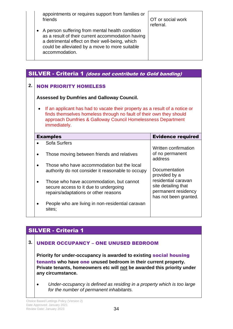appointments or requires support from families or friends

OT or social work referral.

• A person suffering from mental health condition as a result of their current accommodation having a detrimental effect on their well-being, which could be alleviated by a move to more suitable accommodation.

|    |                                                   | <b>SILVER - Criteria 1 (does not contribute to Gold banding)</b>                                                                                                                                                                   |                                                                                            |  |
|----|---------------------------------------------------|------------------------------------------------------------------------------------------------------------------------------------------------------------------------------------------------------------------------------------|--------------------------------------------------------------------------------------------|--|
| 2. | <b>NON PRIORITY HOMELESS</b>                      |                                                                                                                                                                                                                                    |                                                                                            |  |
|    | <b>Assessed by Dumfries and Galloway Council.</b> |                                                                                                                                                                                                                                    |                                                                                            |  |
|    | $\bullet$                                         | If an applicant has had to vacate their property as a result of a notice or<br>finds themselves homeless through no fault of their own they should<br>approach Dumfries & Galloway Council Homelessness Department<br>immediately. |                                                                                            |  |
|    |                                                   | <b>Examples</b>                                                                                                                                                                                                                    | <b>Evidence required</b>                                                                   |  |
|    |                                                   | Sofa Surfers                                                                                                                                                                                                                       |                                                                                            |  |
|    |                                                   | Those moving between friends and relatives                                                                                                                                                                                         | Written confirmation<br>of no permanent<br>address                                         |  |
|    |                                                   | Those who have accommodation but the local<br>authority do not consider it reasonable to occupy                                                                                                                                    | Documentation<br>provided by a                                                             |  |
|    |                                                   | Those who have accommodation, but cannot<br>secure access to it due to undergoing<br>repairs/adaptations or other reasons                                                                                                          | residential caravan<br>site detailing that<br>permanent residency<br>has not been granted. |  |
|    |                                                   | People who are living in non-residential caravan<br>sites;                                                                                                                                                                         |                                                                                            |  |

### SILVER - Criteria 1

### **3.** UNDER OCCUPANCY – ONE UNUSED BEDROOM

**Priority for under-occupancy is awarded to existing** social housing tenants **who have** one **unused bedroom in their current property. Private tenants, homeowners etc will not be awarded this priority under any circumstance.**

• *Under-occupancy is defined as residing in a property which is too large for the number of permanent inhabitants.*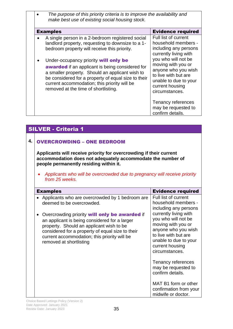| The purpose of this priority criteria is to improve the availability and<br>make best use of existing social housing stock.                                                                                                                                                                                                                                                                                                                                |                                                                                                                                                                                                                                                         |
|------------------------------------------------------------------------------------------------------------------------------------------------------------------------------------------------------------------------------------------------------------------------------------------------------------------------------------------------------------------------------------------------------------------------------------------------------------|---------------------------------------------------------------------------------------------------------------------------------------------------------------------------------------------------------------------------------------------------------|
| <b>Examples</b>                                                                                                                                                                                                                                                                                                                                                                                                                                            | <b>Evidence required</b>                                                                                                                                                                                                                                |
| A single person in a 2-bedroom registered social<br>landlord property, requesting to downsize to a 1-<br>bedroom property will receive this priority.<br>Under-occupancy priority will only be<br><b>awarded</b> if an applicant is being considered for<br>a smaller property. Should an applicant wish to<br>be considered for a property of equal size to their<br>current accommodation; this priority will be<br>removed at the time of shortlisting. | Full list of current<br>household members -<br>including any persons<br>currently living with<br>you who will not be<br>moving with you or<br>anyone who you wish<br>to live with but are<br>unable to due to your<br>current housing<br>circumstances. |
|                                                                                                                                                                                                                                                                                                                                                                                                                                                            | Tenancy references<br>may be requested to<br>confirm details.                                                                                                                                                                                           |

#### SILVER - Criteria 1 **4.** OVERCROWDING – ONE BEDROOM **Applicants will receive priority for overcrowding if their current accommodation does not adequately accommodate the number of people permanently residing within it.** • *Applicants who will be overcrowded due to pregnancy will receive priority from 25 weeks.* Examples Evidence required • Applicants who are overcrowded by 1 bedroom are deemed to be overcrowded. • Overcrowding priority will only be awarded if an applicant is being considered for a larger property. Should an applicant wish to be considered for a property of equal size to their current accommodation; this priority will be removed at shortlisting Full list of current household members including any persons currently living with you who will not be moving with you or anyone who you wish to live with but are unable to due to your current housing circumstances. Tenancy references may be requested to confirm details. MAT B1 form or other confirmation from your midwife or doctor.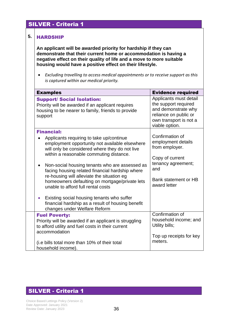### SILVER - Criteria 1

#### **5.** HARDSHIP

**An applicant will be awarded priority for hardship if they can demonstrate that their current home or accommodation is having a negative effect on their quality of life and a move to more suitable housing would have a positive effect on their lifestyle.** 

• *Excluding travelling to access medical appointments or to receive support as this is captured within our medical priority.*

| <b>Examples</b>                                                                                                                                                                                                                                                                                                                                                                                                                                                                                                                                                                                         | <b>Evidence required</b>                                                                                                                        |
|---------------------------------------------------------------------------------------------------------------------------------------------------------------------------------------------------------------------------------------------------------------------------------------------------------------------------------------------------------------------------------------------------------------------------------------------------------------------------------------------------------------------------------------------------------------------------------------------------------|-------------------------------------------------------------------------------------------------------------------------------------------------|
| <b>Support/ Social Isolation:</b><br>Priority will be awarded if an applicant requires<br>housing to be nearer to family, friends to provide<br>support                                                                                                                                                                                                                                                                                                                                                                                                                                                 | Applicants must detail<br>the support required<br>and demonstrate why<br>reliance on public or<br>own transport is not a<br>viable option.      |
| <b>Financial:</b><br>Applicants requiring to take up/continue<br>employment opportunity not available elsewhere<br>will only be considered where they do not live<br>within a reasonable commuting distance.<br>Non-social housing tenants who are assessed as<br>facing housing related financial hardship where<br>re-housing will alleviate the situation eg<br>homeowners defaulting on mortgage/private lets<br>unable to afford full rental costs<br>Existing social housing tenants who suffer<br>$\bullet$<br>financial hardship as a result of housing benefit<br>changes under Welfare Reform | Confirmation of<br>employment details<br>from employer.<br>Copy of current<br>tenancy agreement;<br>and<br>Bank statement or HB<br>award letter |
| <b>Fuel Poverty:</b><br>Priority will be awarded if an applicant is struggling<br>to afford utility and fuel costs in their current<br>accommodation<br>(i.e bills total more than 10% of their total<br>household income).                                                                                                                                                                                                                                                                                                                                                                             | Confirmation of<br>household income; and<br>Utility bills;<br>Top up receipts for key<br>meters.                                                |

### SILVER - Criteria 1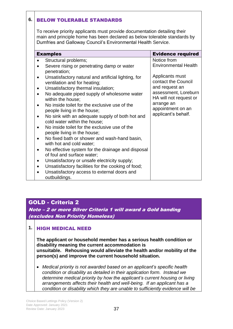### **6.** BELOW TOLERABLE STANDARDS

To receive priority applicants must provide documentation detailing their main and principle home has been declared as below tolerable standards by Dumfries and Galloway Council's Environmental Health Service.

|           | <b>Examples</b>                                                                     | <b>Evidence required</b>                       |
|-----------|-------------------------------------------------------------------------------------|------------------------------------------------|
|           | Structural problems;                                                                | Notice from                                    |
|           | Severe rising or penetrating damp or water<br>penetration;                          | <b>Environmental Health</b>                    |
| $\bullet$ | Unsatisfactory natural and artificial lighting, for<br>ventilation and for heating; | Applicants must<br>contact the Council         |
| $\bullet$ | Unsatisfactory thermal insulation;                                                  | and request an                                 |
| $\bullet$ | No adequate piped supply of wholesome water<br>within the house;                    | assessment, Loreburn<br>HA will not request or |
| $\bullet$ | No inside toilet for the exclusive use of the<br>people living in the house;        | arrange an<br>appointment on an                |
| ٠         | No sink with an adequate supply of both hot and<br>cold water within the house;     | applicant's behalf.                            |
| ٠         | No inside toilet for the exclusive use of the<br>people living in the house;        |                                                |
|           | No fixed bath or shower and wash-hand basin,<br>with hot and cold water;            |                                                |
| ٠         | No effective system for the drainage and disposal<br>of foul and surface water;     |                                                |
| $\bullet$ | Unsatisfactory or unsafe electricity supply;                                        |                                                |
|           | Unsatisfactory facilities for the cooking of food;                                  |                                                |
|           | Unsatisfactory access to external doors and<br>outbuildings.                        |                                                |

### GOLD - Criteria 2

Note – 2 or more Silver Criteria 1 will award a Gold banding (excludes Non Priority Homeless)

### **1.** HIGH MEDICAL NEED

**The applicant or household member has a serious health condition or disability meaning the current accommodation is unsuitable. Rehousing would alleviate the health and/or mobility of the person(s) and improve the current household situation.**

• *Medical priority is not awarded based on an applicant's specific health condition or disability as detailed in their application form. Instead we determine medical priority by how the applicant's current housing or living arrangements affects their health and well-being. If an applicant has a condition or disability which they are unable to sufficiently evidence will be*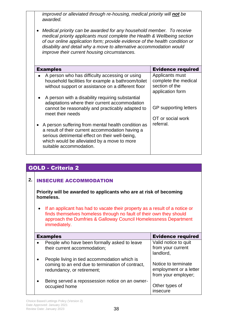*improved or alleviated through re-housing, medical priority will not be awarded.*

• *Medical priority can be awarded for any household member. To receive medical priority applicants must complete the Health & Wellbeing section of our online application form; provide evidence of the health condition or disability and detail why a move to alternative accommodation would improve their current housing circumstances.* 

| <b>Examples</b>                                                                                                                                                                                                                     | <b>Evidence required</b>                                                      |
|-------------------------------------------------------------------------------------------------------------------------------------------------------------------------------------------------------------------------------------|-------------------------------------------------------------------------------|
| A person who has difficulty accessing or using<br>household facilities for example a bathroom/toilet<br>without support or assistance on a different floor                                                                          | Applicants must<br>complete the medical<br>section of the<br>application form |
| A person with a disability requiring substantial<br>adaptations where their current accommodation<br>cannot be reasonably and practicably adapted to<br>meet their needs                                                            | GP supporting letters                                                         |
| A person suffering from mental health condition as<br>a result of their current accommodation having a<br>serious detrimental effect on their well-being,<br>which would be alleviated by a move to more<br>suitable accommodation. | OT or social work<br>referral.                                                |

### GOLD - Criteria 2

### **2.** INSECURE ACCOMMODATION

**Priority will be awarded to applicants who are at risk of becoming homeless.**

• If an applicant has had to vacate their property as a result of a notice or finds themselves homeless through no fault of their own they should approach the Dumfries & Galloway Council Homelessness Department immediately.

| <b>Examples</b>                                                                                                                | <b>Evidence required</b>                                             |
|--------------------------------------------------------------------------------------------------------------------------------|----------------------------------------------------------------------|
| People who have been formally asked to leave<br>their current accommodation;                                                   | Valid notice to quit<br>from your current<br>landlord,               |
| People living in tied accommodation which is<br>coming to an end due to termination of contract,<br>redundancy, or retirement; | Notice to terminate<br>employment or a letter<br>from your employer; |
| Being served a repossession notice on an owner-<br>occupied home                                                               | Other types of<br>insecure                                           |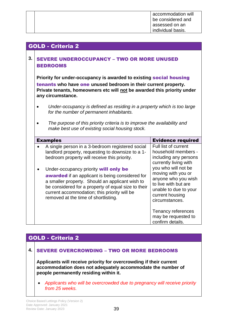| accommodation will |  |
|--------------------|--|
| be considered and  |  |
| assessed on an     |  |
| individual basis.  |  |

### GOLD - Criteria 2

### **3.** SEVERE UNDEROCCUPANCY – TWO OR MORE UNUSED BEDROOMS

**Priority for under-occupancy is awarded to existing** social housing tenants **who have** one **unused bedroom in their current property. Private tenants, homeowners etc will not be awarded this priority under any circumstance.**

- *Under-occupancy is defined as residing in a property which is too large for the number of permanent inhabitants.*
- *The purpose of this priority criteria is to improve the availability and make best use of existing social housing stock.*

| <b>Examples</b>                                                                                                                                                                                                                                                                                                                                                                                                                                            | <b>Evidence required</b>                                                                                                                                                                                                                                |
|------------------------------------------------------------------------------------------------------------------------------------------------------------------------------------------------------------------------------------------------------------------------------------------------------------------------------------------------------------------------------------------------------------------------------------------------------------|---------------------------------------------------------------------------------------------------------------------------------------------------------------------------------------------------------------------------------------------------------|
| A single person in a 3-bedroom registered social<br>landlord property, requesting to downsize to a 1-<br>bedroom property will receive this priority.<br>Under-occupancy priority will only be<br><b>awarded</b> if an applicant is being considered for<br>a smaller property. Should an applicant wish to<br>be considered for a property of equal size to their<br>current accommodation; this priority will be<br>removed at the time of shortlisting. | Full list of current<br>household members -<br>including any persons<br>currently living with<br>you who will not be<br>moving with you or<br>anyone who you wish<br>to live with but are<br>unable to due to your<br>current housing<br>circumstances. |
|                                                                                                                                                                                                                                                                                                                                                                                                                                                            | Tenancy references<br>may be requested to<br>confirm details.                                                                                                                                                                                           |

### GOLD - Criteria 2

### **4.** SEVERE OVERCROWDING – TWO OR MORE BEDROOMS

**Applicants will receive priority for overcrowding if their current accommodation does not adequately accommodate the number of people permanently residing within it.**

• *Applicants who will be overcrowded due to pregnancy will receive priority from 25 weeks.*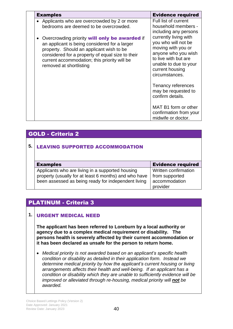| <b>Examples</b>                                                                                                                                                                                                                                                                                                                                                             | <b>Evidence required</b>                                                                                                                                                                                                                                |
|-----------------------------------------------------------------------------------------------------------------------------------------------------------------------------------------------------------------------------------------------------------------------------------------------------------------------------------------------------------------------------|---------------------------------------------------------------------------------------------------------------------------------------------------------------------------------------------------------------------------------------------------------|
| • Applicants who are overcrowded by 2 or more<br>bedrooms are deemed to be overcrowded.<br>Overcrowding priority <b>will only be awarded</b> if<br>an applicant is being considered for a larger<br>property. Should an applicant wish to be<br>considered for a property of equal size to their<br>current accommodation; this priority will be<br>removed at shortlisting | Full list of current<br>household members -<br>including any persons<br>currently living with<br>you who will not be<br>moving with you or<br>anyone who you wish<br>to live with but are<br>unable to due to your<br>current housing<br>circumstances. |
|                                                                                                                                                                                                                                                                                                                                                                             | Tenancy references<br>may be requested to<br>confirm details.                                                                                                                                                                                           |
|                                                                                                                                                                                                                                                                                                                                                                             | MAT B1 form or other<br>confirmation from your<br>midwife or doctor.                                                                                                                                                                                    |

### GOLD - Criteria 2

### **5.** LEAVING SUPPORTED ACCOMMODATION

| <b>Examples</b>                                       | <b>Evidence required</b> |
|-------------------------------------------------------|--------------------------|
| Applicants who are living in a supported housing      | Written confirmation     |
| property (usually for at least 6 months) and who have | from supported           |
| been assessed as being ready for independent living   | accommodation            |
|                                                       | provider                 |

### PLATINUM - Criteria 3

### **1.** URGENT MEDICAL NEED

**The applicant has been referred to Loreburn by a local authority or agency due to a complex medical requirement or disability. The persons health is severely affected by their current accommodation or it has been declared as unsafe for the person to return home.**

• *Medical priority is not awarded based on an applicant's specific health condition or disability as detailed in their application form. Instead we determine medical priority by how the applicant's current housing or living arrangements affects their health and well-being. If an applicant has a condition or disability which they are unable to sufficiently evidence will be improved or alleviated through re-housing, medical priority will not be awarded.*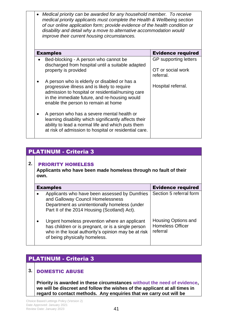• *Medical priority can be awarded for any household member. To receive medical priority applicants must complete the Health & Wellbeing section of our online application form; provide evidence of the health condition or disability and detail why a move to alternative accommodation would improve their current housing circumstances.* 

| <b>Examples</b>                                                                                                                                                                                                                           | <b>Evidence required</b>       |
|-------------------------------------------------------------------------------------------------------------------------------------------------------------------------------------------------------------------------------------------|--------------------------------|
| Bed-blocking - A person who cannot be<br>discharged from hospital until a suitable adapted                                                                                                                                                | GP supporting letters          |
| property is provided                                                                                                                                                                                                                      | OT or social work<br>referral. |
| A person who is elderly or disabled or has a<br>progressive illness and is likely to require<br>admission to hospital or residential/nursing care<br>in the immediate future, and re-housing would<br>enable the person to remain at home | Hospital referral.             |
| A person who has a severe mental health or<br>learning disability which significantly affects their<br>ability to lead a normal life and which puts them<br>at risk of admission to hospital or residential care.                         |                                |

### PLATINUM - Criteria 3

### **2.** PRIORITY HOMELESS

**Applicants who have been made homeless through no fault of their own.**

| <b>Examples</b>                                                                                                                                                                             | <b>Evidence required</b>                                          |
|---------------------------------------------------------------------------------------------------------------------------------------------------------------------------------------------|-------------------------------------------------------------------|
| Applicants who have been assessed by Dumfries<br>and Galloway Council Homelessness<br>Department as unintentionally homeless (under<br>Part II of the 2014 Housing (Scotland) Act).         | Section 5 referral form                                           |
| Urgent homeless prevention where an applicant<br>has children or is pregnant, or is a single person<br>who in the local authority's opinion may be at risk<br>of being physically homeless. | <b>Housing Options and</b><br><b>Homeless Officer</b><br>referral |

### PLATINUM - Criteria 3

### **3.** DOMESTIC ABUSE

**Priority is awarded in these circumstances without the need of evidence, we will be discreet and follow the wishes of the applicant at all times in regard to contact methods. Any enquiries that we carry out will be**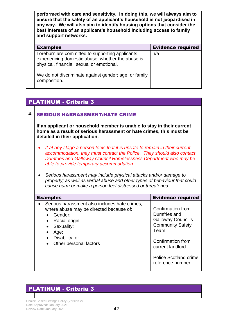**performed with care and sensitivity. In doing this, we will always aim to ensure that the safety of an applicant's household is not jeopardised in any way. We will also aim to identify housing options that consider the best interests of an applicant's household including access to family and support networks.** 

| <b>Examples</b>                                                                                                                                   | <b>Evidence required</b> |
|---------------------------------------------------------------------------------------------------------------------------------------------------|--------------------------|
| Loreburn are committed to supporting applicants<br>experiencing domestic abuse, whether the abuse is<br>physical, financial, sexual or emotional. | n/a                      |
| We do not discriminate against gender; age; or family<br>composition.                                                                             |                          |

### PLATINUM - Criteria 3

### **4.** SERIOUS HARRASSMENT/HATE CRIME

**If an applicant or household member is unable to stay in their current home as a result of serious harassment or hate crimes, this must be detailed in their application.**

- *If at any stage a person feels that it is unsafe to remain in their current accommodation, they must contact the Police. They should also contact Dumfries and Galloway Council Homelessness Department who may be able to provide temporary accommodation.*
- *Serious harassment may include physical attacks and/or damage to property; as well as verbal abuse and other types of behaviour that could cause harm or make a person feel distressed or threatened.*

| Serious harassment also includes hate crimes,<br>Confirmation from<br>where abuse may be directed because of:<br>Dumfries and<br>Gender;<br>Racial origin;<br><b>Community Safety</b><br>Sexuality;<br>Team<br>Age;<br>Disability; or<br>$\bullet$ | <b>Examples</b>        | <b>Evidence required</b>                                                       |
|----------------------------------------------------------------------------------------------------------------------------------------------------------------------------------------------------------------------------------------------------|------------------------|--------------------------------------------------------------------------------|
| current landlord<br>reference number                                                                                                                                                                                                               | Other personal factors | <b>Galloway Council's</b><br>Confirmation from<br><b>Police Scotland crime</b> |

### PLATINUM - Criteria 3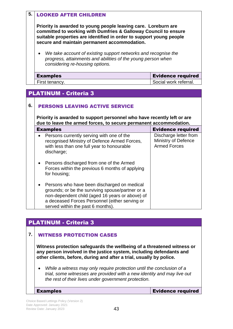### **5.** LOOKED AFTER CHILDREN

**Priority is awarded to young people leaving care. Loreburn are committed to working with Dumfries & Galloway Council to ensure suitable properties are identified in order to support young people secure and maintain permanent accommodation.**

• *We take account of existing support networks and recognise the progress, attainments and abilities of the young person when considering re-housing options.*

| <b>Examples</b> | <b>Evidence required</b> |
|-----------------|--------------------------|
| First tenancy.  | Social work referral.    |

### PLATINUM - Criteria 3

### **6.** PERSONS LEAVING ACTIVE SERVICE

**Priority is awarded to support personnel who have recently left or are due to leave the armed forces, to secure permanent accommodation.**

| <b>Examples</b>                                                                                                                                                                                                                           | <b>Evidence required</b>                                            |
|-------------------------------------------------------------------------------------------------------------------------------------------------------------------------------------------------------------------------------------------|---------------------------------------------------------------------|
| Persons currently serving with one of the<br>$\bullet$<br>recognised Ministry of Defence Armed Forces,<br>with less than one full year to honourable<br>discharge;                                                                        | Discharge letter from<br>Ministry of Defence<br><b>Armed Forces</b> |
| Persons discharged from one of the Armed<br>Forces within the previous 6 months of applying<br>for housing;                                                                                                                               |                                                                     |
| Persons who have been discharged on medical<br>grounds; or be the surviving spouse/partner or a<br>non-dependent child (aged 16 years or above) of<br>a deceased Forces Personnel (either serving or<br>served within the past 6 months). |                                                                     |

### PLATINUM - Criteria 3

### **7.** WITNESS PROTECTION CASES

**Witness protection safeguards the wellbeing of a threatened witness or any person involved in the justice system, including defendants and other clients, before, during and after a trial, usually by police.** 

• *While a witness may only require protection until the conclusion of a trial, some witnesses are provided with a new identity and may live out the rest of their lives under government protection.*

Examples Evidence required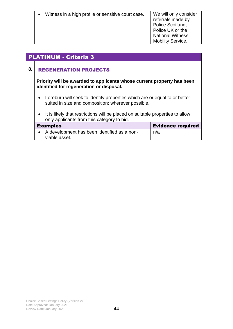| Witness in a high profile or sensitive court case. | We will only consider<br>referrals made by<br>Police Scotland,<br>Police UK or the<br><b>National Witness</b><br><b>Mobility Service.</b> |
|----------------------------------------------------|-------------------------------------------------------------------------------------------------------------------------------------------|
|                                                    |                                                                                                                                           |

### PLATINUM - Criteria 3

### **8.** REGENERATION PROJECTS

**Priority will be awarded to applicants whose current property has been identified for regeneration or disposal.**

- Loreburn will seek to identify properties which are or equal to or better suited in size and composition; wherever possible.
- It is likely that restrictions will be placed on suitable properties to allow only applicants from this category to bid.

| <b>Examples</b>                             | <b>Evidence required</b> |
|---------------------------------------------|--------------------------|
| A development has been identified as a non- | n/a                      |
| viable asset.                               |                          |